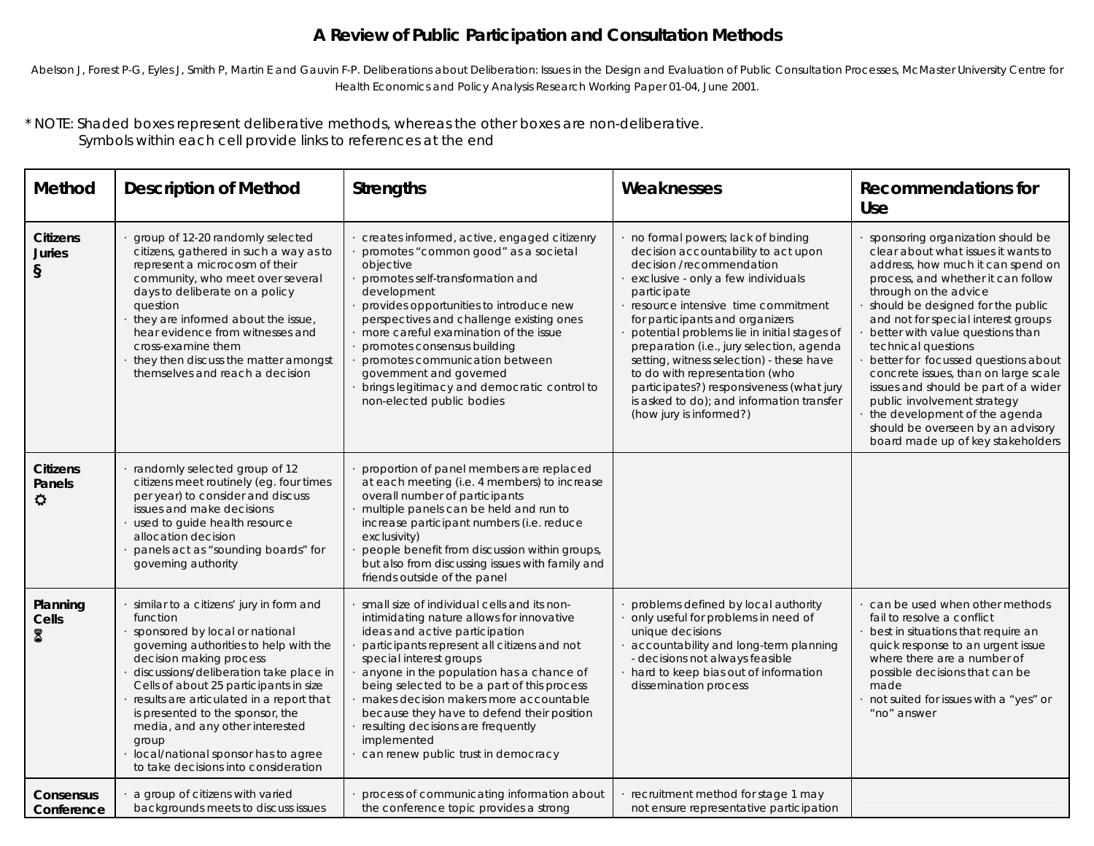# **A Review of Public Participation and Consultation Methods**

Abelson J, Forest P-G, Eyles J, Smith P, Martin E and Gauvin F-P. Deliberations about Deliberation: Issues in the Design and Evaluation of Public Consultation Processes, McMaster University Centre for *Health Economics and Policy Analysis Research Working Paper 01-04, June 2001.*

\* NOTE: Shaded boxes represent deliberative methods, whereas the other boxes are non-deliberative. Symbols within each cell provide links to references at the end

| Method                                   | <b>Description of Method</b>                                                                                                                                                                                                                                                                                                                                                                                                                              | <b>Strengths</b>                                                                                                                                                                                                                                                                                                                                                                                                                                                                    | Weaknesses                                                                                                                                                                                                                                                                                                                                                                                                                                                                                                                       | <b>Recommendations for</b><br>Use                                                                                                                                                                                                                                                                                                                                                                                                                                                                                                                                                    |
|------------------------------------------|-----------------------------------------------------------------------------------------------------------------------------------------------------------------------------------------------------------------------------------------------------------------------------------------------------------------------------------------------------------------------------------------------------------------------------------------------------------|-------------------------------------------------------------------------------------------------------------------------------------------------------------------------------------------------------------------------------------------------------------------------------------------------------------------------------------------------------------------------------------------------------------------------------------------------------------------------------------|----------------------------------------------------------------------------------------------------------------------------------------------------------------------------------------------------------------------------------------------------------------------------------------------------------------------------------------------------------------------------------------------------------------------------------------------------------------------------------------------------------------------------------|--------------------------------------------------------------------------------------------------------------------------------------------------------------------------------------------------------------------------------------------------------------------------------------------------------------------------------------------------------------------------------------------------------------------------------------------------------------------------------------------------------------------------------------------------------------------------------------|
| <b>Citizens</b><br><b>Juries</b><br>$\S$ | group of 12-20 randomly selected<br>citizens, gathered in such a way as to<br>represent a microcosm of their<br>community, who meet over several<br>days to deliberate on a policy<br>question<br>they are informed about the issue,<br>hear evidence from witnesses and<br>cross-examine them<br>they then discuss the matter amongst<br>themselves and reach a decision                                                                                 | creates informed, active, engaged citizenry<br>promotes "common good" as a societal<br>objective<br>promotes self-transformation and<br>development<br>provides opportunities to introduce new<br>perspectives and challenge existing ones<br>more careful examination of the issue<br>promotes consensus building<br>promotes communication between<br>government and governed<br>brings legitimacy and democratic control to<br>non-elected public bodies                         | no formal powers; lack of binding<br>decision accountability to act upon<br>decision /recommendation<br>exclusive - only a few individuals<br>participate<br>resource intensive time commitment<br>for participants and organizers<br>potential problems lie in initial stages of<br>preparation (i.e., jury selection, agenda<br>setting, witness selection) - these have<br>to do with representation (who<br>participates?) responsiveness (what jury<br>is asked to do); and information transfer<br>(how jury is informed?) | sponsoring organization should be<br>clear about what issues it wants to<br>address, how much it can spend on<br>process, and whether it can follow<br>through on the advice<br>should be designed for the public<br>and not for special interest groups<br>better with value questions than<br>technical questions<br>better for focussed questions about<br>concrete issues, than on large scale<br>issues and should be part of a wider<br>public involvement strategy<br>the development of the agenda<br>should be overseen by an advisory<br>board made up of key stakeholders |
| <b>Citizens</b><br>Panels<br>$\alpha$    | randomly selected group of 12<br>citizens meet routinely (eq. four times<br>per year) to consider and discuss<br>issues and make decisions<br>used to quide health resource<br>allocation decision<br>panels act as "sounding boards" for<br>governing authority                                                                                                                                                                                          | proportion of panel members are replaced<br>at each meeting (i.e. 4 members) to increase<br>overall number of participants<br>multiple panels can be held and run to<br>increase participant numbers (i.e. reduce<br>exclusivity)<br>people benefit from discussion within groups,<br>but also from discussing issues with family and<br>friends outside of the panel                                                                                                               |                                                                                                                                                                                                                                                                                                                                                                                                                                                                                                                                  |                                                                                                                                                                                                                                                                                                                                                                                                                                                                                                                                                                                      |
| Planning<br>Cells<br>8                   | similar to a citizens' jury in form and<br>function<br>sponsored by local or national<br>governing authorities to help with the<br>decision making process<br>discussions/deliberation take place in<br>Cells of about 25 participants in size<br>results are articulated in a report that<br>is presented to the sponsor, the<br>media, and any other interested<br>group<br>local/national sponsor has to agree<br>to take decisions into consideration | small size of individual cells and its non-<br>intimidating nature allows for innovative<br>ideas and active participation<br>participants represent all citizens and not<br>special interest groups<br>anyone in the population has a chance of<br>being selected to be a part of this process<br>makes decision makers more accountable<br>because they have to defend their position<br>resulting decisions are frequently<br>implemented<br>can renew public trust in democracy | problems defined by local authority<br>only useful for problems in need of<br>unique decisions<br>accountability and long-term planning<br>- decisions not always feasible<br>hard to keep bias out of information<br>dissemination process                                                                                                                                                                                                                                                                                      | can be used when other methods<br>fail to resolve a conflict<br>best in situations that require an<br>quick response to an urgent issue<br>where there are a number of<br>possible decisions that can be<br>made<br>not suited for issues with a "yes" or<br>"no" answer                                                                                                                                                                                                                                                                                                             |
| <b>Consensus</b><br>Conference           | a group of citizens with varied<br>backgrounds meets to discuss issues                                                                                                                                                                                                                                                                                                                                                                                    | process of communicating information about<br>the conference topic provides a strong                                                                                                                                                                                                                                                                                                                                                                                                | recruitment method for stage 1 may<br>not ensure representative participation                                                                                                                                                                                                                                                                                                                                                                                                                                                    |                                                                                                                                                                                                                                                                                                                                                                                                                                                                                                                                                                                      |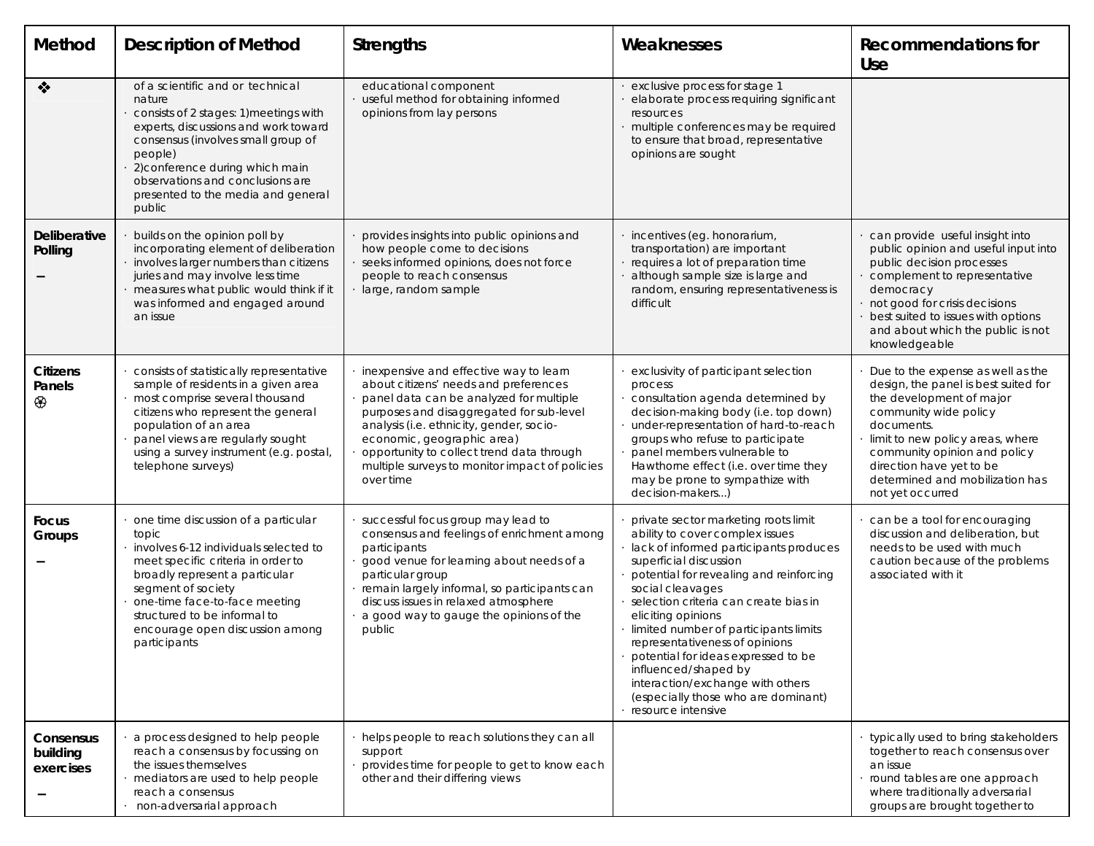| Method                             | <b>Description of Method</b>                                                                                                                                                                                                                                                                            | <b>Strengths</b>                                                                                                                                                                                                                                                                                                                                             | Weaknesses                                                                                                                                                                                                                                                                                                                                                                                                                                                                                                           | <b>Recommendations for</b><br>Use                                                                                                                                                                                                                                                                   |
|------------------------------------|---------------------------------------------------------------------------------------------------------------------------------------------------------------------------------------------------------------------------------------------------------------------------------------------------------|--------------------------------------------------------------------------------------------------------------------------------------------------------------------------------------------------------------------------------------------------------------------------------------------------------------------------------------------------------------|----------------------------------------------------------------------------------------------------------------------------------------------------------------------------------------------------------------------------------------------------------------------------------------------------------------------------------------------------------------------------------------------------------------------------------------------------------------------------------------------------------------------|-----------------------------------------------------------------------------------------------------------------------------------------------------------------------------------------------------------------------------------------------------------------------------------------------------|
| $\bullet$                          | of a scientific and or technical<br>nature<br>consists of 2 stages: 1) meetings with<br>experts, discussions and work toward<br>consensus (involves small group of<br>people)<br>2) conference during which main<br>observations and conclusions are<br>presented to the media and general<br>public    | educational component<br>useful method for obtaining informed<br>opinions from lay persons                                                                                                                                                                                                                                                                   | exclusive process for stage 1<br>elaborate process requiring significant<br>resources<br>multiple conferences may be required<br>to ensure that broad, representative<br>opinions are sought                                                                                                                                                                                                                                                                                                                         |                                                                                                                                                                                                                                                                                                     |
| Deliberative<br>Polling            | builds on the opinion poll by<br>incorporating element of deliberation<br>involves larger numbers than citizens<br>juries and may involve less time<br>measures what public would think if it<br>was informed and engaged around<br>an issue                                                            | provides insights into public opinions and<br>how people come to decisions<br>seeks informed opinions, does not force<br>people to reach consensus<br>large, random sample                                                                                                                                                                                   | incentives (eg. honorarium,<br>transportation) are important<br>requires a lot of preparation time<br>although sample size is large and<br>random, ensuring representativeness is<br>difficult                                                                                                                                                                                                                                                                                                                       | can provide useful insight into<br>public opinion and useful input into<br>public decision processes<br>complement to representative<br>democracy<br>not good for crisis decisions<br>best suited to issues with options<br>and about which the public is not<br>knowledgeable                      |
| <b>Citizens</b><br>Panels<br>⊛     | consists of statistically representative<br>sample of residents in a given area<br>most comprise several thousand<br>citizens who represent the general<br>population of an area<br>panel views are regularly sought<br>using a survey instrument (e.g. postal,<br>telephone surveys)                   | inexpensive and effective way to learn<br>about citizens' needs and preferences<br>panel data can be analyzed for multiple<br>purposes and disaggregated for sub-level<br>analysis (i.e. ethnicity, gender, socio-<br>economic, geographic area)<br>opportunity to collect trend data through<br>multiple surveys to monitor impact of policies<br>over time | exclusivity of participant selection<br>process<br>consultation agenda determined by<br>decision-making body (i.e. top down)<br>under-representation of hard-to-reach<br>groups who refuse to participate<br>panel members vulnerable to<br>Hawthorne effect (i.e. over time they<br>may be prone to sympathize with<br>decision-makers)                                                                                                                                                                             | Due to the expense as well as the<br>design, the panel is best suited for<br>the development of major<br>community wide policy<br>documents.<br>limit to new policy areas, where<br>community opinion and policy<br>direction have yet to be<br>determined and mobilization has<br>not yet occurred |
| Focus<br>Groups                    | one time discussion of a particular<br>topic<br>involves 6-12 individuals selected to<br>meet specific criteria in order to<br>broadly represent a particular<br>segment of society<br>one-time face-to-face meeting<br>structured to be informal to<br>encourage open discussion among<br>participants | successful focus group may lead to<br>consensus and feelings of enrichment among<br>participants<br>good venue for learning about needs of a<br>particular group<br>remain largely informal, so participants can<br>discuss issues in relaxed atmosphere<br>a good way to gauge the opinions of the<br>public                                                | private sector marketing roots limit<br>ability to cover complex issues<br>lack of informed participants produces<br>superficial discussion<br>potential for revealing and reinforcing<br>social cleavages<br>selection criteria can create bias in<br>eliciting opinions<br>limited number of participants limits<br>representativeness of opinions<br>potential for ideas expressed to be<br>influenced/shaped by<br>interaction/exchange with others<br>(especially those who are dominant)<br>resource intensive | can be a tool for encouraging<br>discussion and deliberation, but<br>needs to be used with much<br>caution because of the problems<br>associated with it                                                                                                                                            |
| Consensus<br>building<br>exercises | a process designed to help people<br>reach a consensus by focussing on<br>the issues themselves<br>mediators are used to help people<br>reach a consensus<br>non-adversarial approach                                                                                                                   | helps people to reach solutions they can all<br>support<br>provides time for people to get to know each<br>other and their differing views                                                                                                                                                                                                                   |                                                                                                                                                                                                                                                                                                                                                                                                                                                                                                                      | typically used to bring stakeholders<br>together to reach consensus over<br>an issue<br>round tables are one approach<br>where traditionally adversarial<br>groups are brought together to                                                                                                          |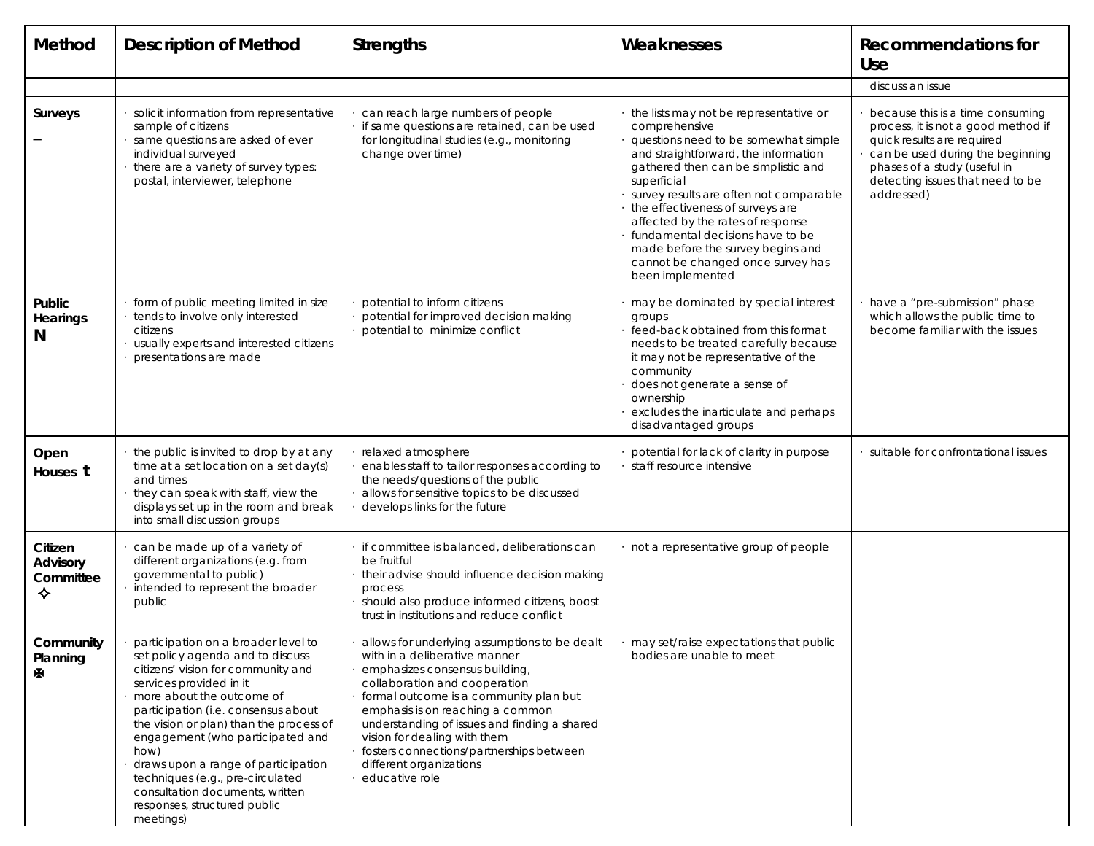| Method                                | <b>Description of Method</b>                                                                                                                                                                                                                                                                                                                                                                                                                                   | <b>Strengths</b>                                                                                                                                                                                                                                                                                                                                                                                         | Weaknesses                                                                                                                                                                                                                                                                                                                                                                                                                                          | <b>Recommendations for</b><br>Use                                                                                                                                                                                           |
|---------------------------------------|----------------------------------------------------------------------------------------------------------------------------------------------------------------------------------------------------------------------------------------------------------------------------------------------------------------------------------------------------------------------------------------------------------------------------------------------------------------|----------------------------------------------------------------------------------------------------------------------------------------------------------------------------------------------------------------------------------------------------------------------------------------------------------------------------------------------------------------------------------------------------------|-----------------------------------------------------------------------------------------------------------------------------------------------------------------------------------------------------------------------------------------------------------------------------------------------------------------------------------------------------------------------------------------------------------------------------------------------------|-----------------------------------------------------------------------------------------------------------------------------------------------------------------------------------------------------------------------------|
|                                       |                                                                                                                                                                                                                                                                                                                                                                                                                                                                |                                                                                                                                                                                                                                                                                                                                                                                                          |                                                                                                                                                                                                                                                                                                                                                                                                                                                     | discuss an issue                                                                                                                                                                                                            |
| Surveys                               | solicit information from representative<br>sample of citizens<br>same questions are asked of ever<br>individual surveyed<br>there are a variety of survey types:<br>postal, interviewer, telephone                                                                                                                                                                                                                                                             | can reach large numbers of people<br>if same questions are retained, can be used<br>for longitudinal studies (e.g., monitoring<br>change over time)                                                                                                                                                                                                                                                      | the lists may not be representative or<br>comprehensive<br>questions need to be somewhat simple<br>and straightforward, the information<br>gathered then can be simplistic and<br>superficial<br>survey results are often not comparable<br>the effectiveness of surveys are<br>affected by the rates of response<br>fundamental decisions have to be<br>made before the survey begins and<br>cannot be changed once survey has<br>been implemented | because this is a time consuming<br>process, it is not a good method if<br>quick results are required<br>can be used during the beginning<br>phases of a study (useful in<br>detecting issues that need to be<br>addressed) |
| Public<br>Hearings<br>N               | form of public meeting limited in size<br>tends to involve only interested<br>citizens<br>usually experts and interested citizens<br>presentations are made                                                                                                                                                                                                                                                                                                    | potential to inform citizens<br>potential for improved decision making<br>potential to minimize conflict                                                                                                                                                                                                                                                                                                 | may be dominated by special interest<br>groups<br>feed-back obtained from this format<br>needs to be treated carefully because<br>it may not be representative of the<br>community<br>does not generate a sense of<br>ownership<br>excludes the inarticulate and perhaps<br>disadvantaged groups                                                                                                                                                    | have a "pre-submission" phase<br>which allows the public time to<br>become familiar with the issues                                                                                                                         |
| Open<br>Houses t                      | the public is invited to drop by at any<br>time at a set location on a set day(s)<br>and times<br>they can speak with staff, view the<br>displays set up in the room and break<br>into small discussion groups                                                                                                                                                                                                                                                 | relaxed atmosphere<br>enables staff to tailor responses according to<br>the needs/questions of the public<br>allows for sensitive topics to be discussed<br>develops links for the future                                                                                                                                                                                                                | potential for lack of clarity in purpose<br>· staff resource intensive                                                                                                                                                                                                                                                                                                                                                                              | suitable for confrontational issues                                                                                                                                                                                         |
| Citizen<br>Advisory<br>Committee<br>❖ | can be made up of a variety of<br>different organizations (e.g. from<br>governmental to public)<br>intended to represent the broader<br>public                                                                                                                                                                                                                                                                                                                 | if committee is balanced, deliberations can<br>be fruitful<br>their advise should influence decision making<br>process<br>should also produce informed citizens, boost<br>trust in institutions and reduce conflict                                                                                                                                                                                      | · not a representative group of people                                                                                                                                                                                                                                                                                                                                                                                                              |                                                                                                                                                                                                                             |
| Community<br>Planning<br>M            | participation on a broader level to<br>set policy agenda and to discuss<br>citizens' vision for community and<br>services provided in it<br>more about the outcome of<br>participation (i.e. consensus about<br>the vision or plan) than the process of<br>engagement (who participated and<br>how)<br>draws upon a range of participation<br>techniques (e.g., pre-circulated<br>consultation documents, written<br>responses, structured public<br>meetings) | allows for underlying assumptions to be dealt<br>with in a deliberative manner<br>emphasizes consensus building,<br>collaboration and cooperation<br>formal outcome is a community plan but<br>emphasis is on reaching a common<br>understanding of issues and finding a shared<br>vision for dealing with them<br>fosters connections/partnerships between<br>different organizations<br>educative role | · may set/raise expectations that public<br>bodies are unable to meet                                                                                                                                                                                                                                                                                                                                                                               |                                                                                                                                                                                                                             |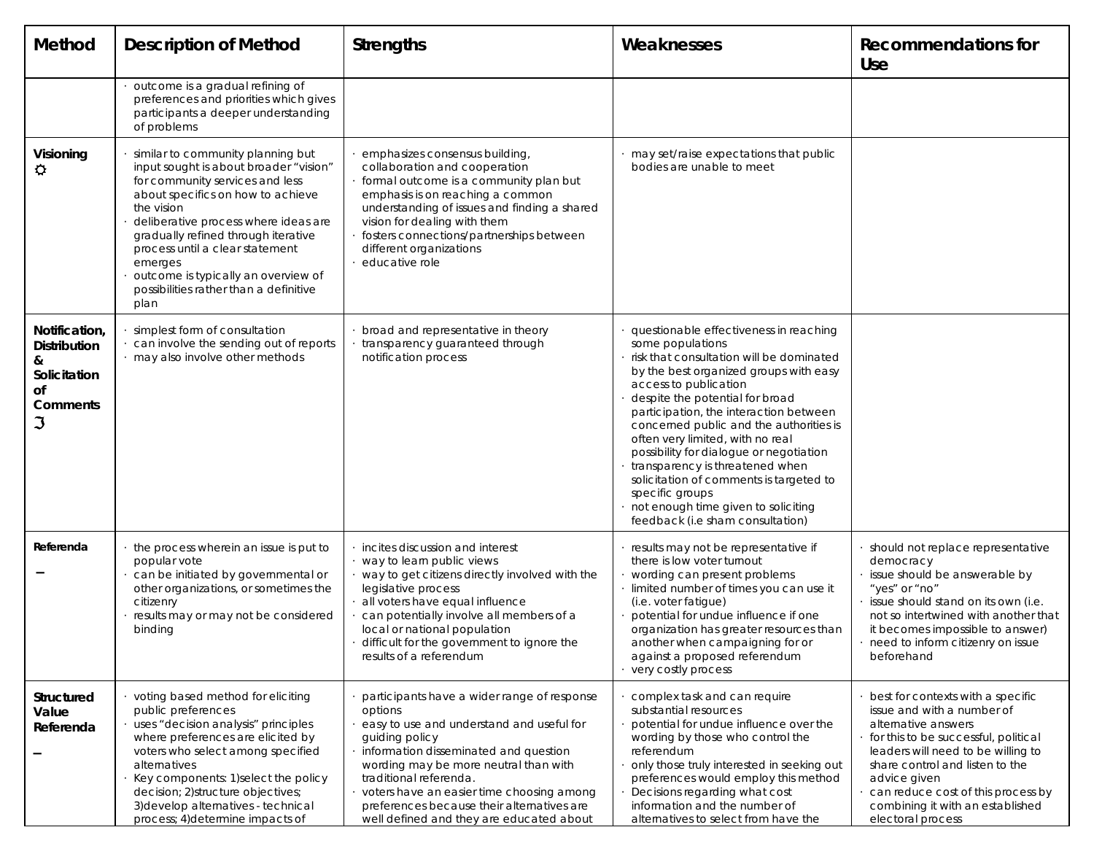| Method                                                                                  | <b>Description of Method</b>                                                                                                                                                                                                                                                                                                                                                            | <b>Strengths</b>                                                                                                                                                                                                                                                                                                                                                         | Weaknesses                                                                                                                                                                                                                                                                                                                                                                                                                                                                                                                                                   | Recommendations for<br><b>Use</b>                                                                                                                                                                                                                                                                                      |
|-----------------------------------------------------------------------------------------|-----------------------------------------------------------------------------------------------------------------------------------------------------------------------------------------------------------------------------------------------------------------------------------------------------------------------------------------------------------------------------------------|--------------------------------------------------------------------------------------------------------------------------------------------------------------------------------------------------------------------------------------------------------------------------------------------------------------------------------------------------------------------------|--------------------------------------------------------------------------------------------------------------------------------------------------------------------------------------------------------------------------------------------------------------------------------------------------------------------------------------------------------------------------------------------------------------------------------------------------------------------------------------------------------------------------------------------------------------|------------------------------------------------------------------------------------------------------------------------------------------------------------------------------------------------------------------------------------------------------------------------------------------------------------------------|
|                                                                                         | outcome is a gradual refining of<br>preferences and priorities which gives<br>participants a deeper understanding<br>of problems                                                                                                                                                                                                                                                        |                                                                                                                                                                                                                                                                                                                                                                          |                                                                                                                                                                                                                                                                                                                                                                                                                                                                                                                                                              |                                                                                                                                                                                                                                                                                                                        |
| Visioning<br>♦                                                                          | similar to community planning but<br>input sought is about broader "vision"<br>for community services and less<br>about specifics on how to achieve<br>the vision<br>deliberative process where ideas are<br>gradually refined through iterative<br>process until a clear statement<br>emerges<br>outcome is typically an overview of<br>possibilities rather than a definitive<br>plan | emphasizes consensus building,<br>collaboration and cooperation<br>formal outcome is a community plan but<br>emphasis is on reaching a common<br>understanding of issues and finding a shared<br>vision for dealing with them<br>fosters connections/partnerships between<br>different organizations<br>educative role                                                   | may set/raise expectations that public<br>bodies are unable to meet                                                                                                                                                                                                                                                                                                                                                                                                                                                                                          |                                                                                                                                                                                                                                                                                                                        |
| Notification,<br><b>Distribution</b><br>&<br>Solicitation<br>Οf<br><b>Comments</b><br>S | simplest form of consultation<br>can involve the sending out of reports<br>· may also involve other methods                                                                                                                                                                                                                                                                             | broad and representative in theory<br>transparency guaranteed through<br>notification process                                                                                                                                                                                                                                                                            | questionable effectiveness in reaching<br>some populations<br>risk that consultation will be dominated<br>by the best organized groups with easy<br>access to publication<br>despite the potential for broad<br>participation, the interaction between<br>concerned public and the authorities is<br>often very limited, with no real<br>possibility for dialogue or negotiation<br>transparency is threatened when<br>solicitation of comments is targeted to<br>specific groups<br>not enough time given to soliciting<br>feedback (i.e sham consultation) |                                                                                                                                                                                                                                                                                                                        |
| Referenda                                                                               | the process wherein an issue is put to<br>popular vote<br>can be initiated by governmental or<br>other organizations, or sometimes the<br>citizenry<br>results may or may not be considered<br>binding                                                                                                                                                                                  | incites discussion and interest<br>way to learn public views<br>way to get citizens directly involved with the<br>legislative process<br>all voters have equal influence<br>can potentially involve all members of a<br>local or national population<br>difficult for the government to ignore the<br>results of a referendum                                            | results may not be representative if<br>there is low voter turnout<br>wording can present problems<br>· limited number of times you can use it<br>(i.e. voter fatigue)<br>potential for undue influence if one<br>organization has greater resources than<br>another when campaigning for or<br>against a proposed referendum<br>· very costly process                                                                                                                                                                                                       | should not replace representative<br>democracy<br>issue should be answerable by<br>"yes" or "no"<br>issue should stand on its own (i.e.<br>not so intertwined with another that<br>it becomes impossible to answer)<br>need to inform citizenry on issue<br>beforehand                                                 |
| Structured<br>Value<br>Referenda                                                        | voting based method for eliciting<br>public preferences<br>uses "decision analysis" principles<br>where preferences are elicited by<br>voters who select among specified<br>alternatives<br>Key components: 1) select the policy<br>decision; 2) structure objectives;<br>3) develop alternatives - technical<br>process; 4) determine impacts of                                       | participants have a wider range of response<br>options<br>easy to use and understand and useful for<br>quiding policy<br>information disseminated and question<br>wording may be more neutral than with<br>traditional referenda.<br>voters have an easier time choosing among<br>preferences because their alternatives are<br>well defined and they are educated about | complex task and can require<br>substantial resources<br>potential for undue influence over the<br>wording by those who control the<br>referendum<br>only those truly interested in seeking out<br>preferences would employ this method<br>Decisions regarding what cost<br>information and the number of<br>alternatives to select from have the                                                                                                                                                                                                            | best for contexts with a specific<br>issue and with a number of<br>alternative answers<br>for this to be successful, political<br>leaders will need to be willing to<br>share control and listen to the<br>advice given<br>can reduce cost of this process by<br>combining it with an established<br>electoral process |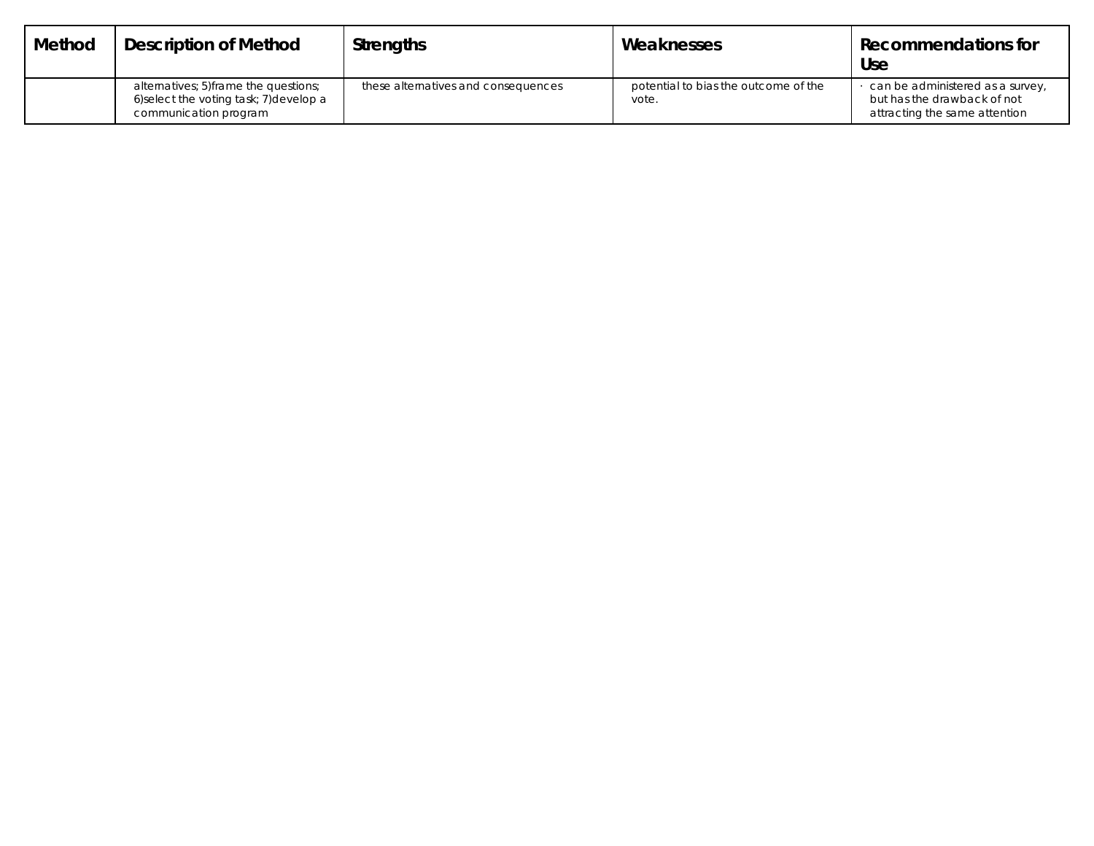| Method | <b>Description of Method</b>                                                                              | <b>Strengths</b>                    | Weaknesses                                    | Recommendations for<br><b>Use</b>                                                                |
|--------|-----------------------------------------------------------------------------------------------------------|-------------------------------------|-----------------------------------------------|--------------------------------------------------------------------------------------------------|
|        | alternatives: 5) frame the questions:<br>6) select the voting task; 7) develop a<br>communication program | these alternatives and consequences | potential to bias the outcome of the<br>vote. | can be administered as a survey,<br>but has the drawback of not<br>attracting the same attention |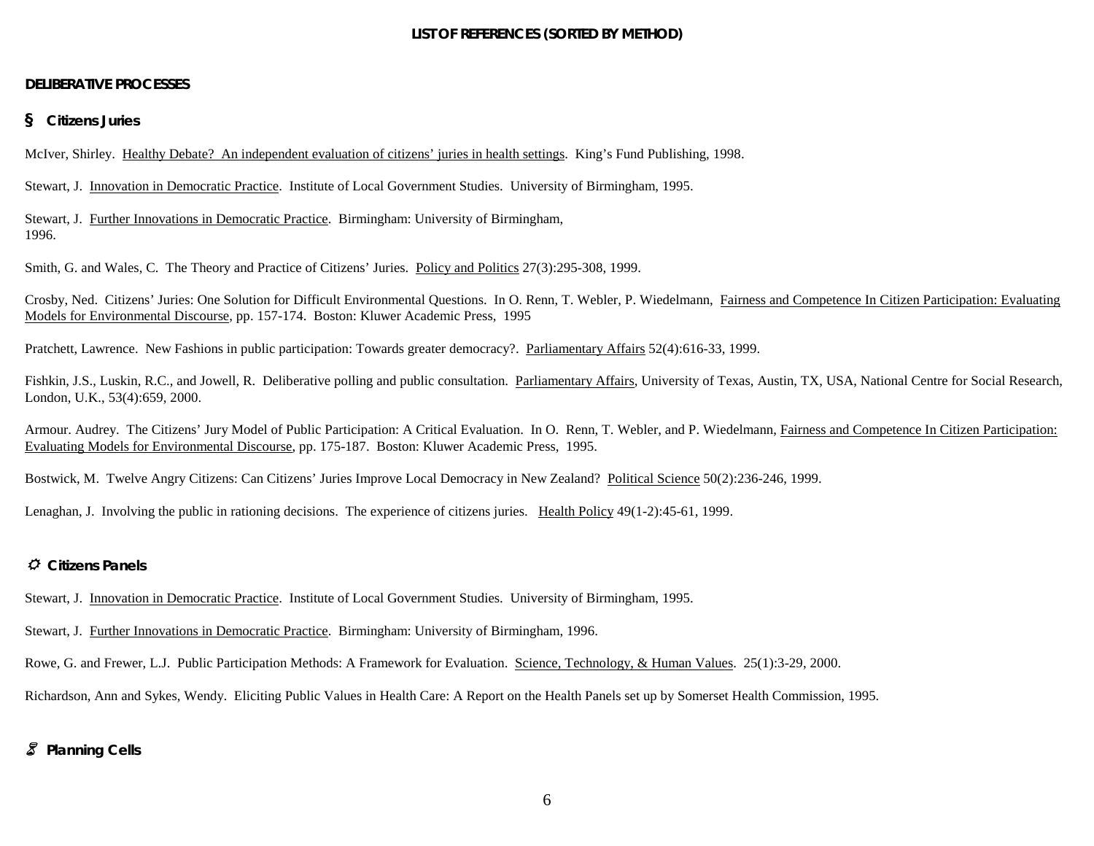### **LIST OF REFERENCES (SORTED BY METHOD)**

#### **DELIBERATIVE PROCESSES**

#### *§ Citizens Juries*

McIver, Shirley. Healthy Debate? An independent evaluation of citizens' juries in health settings. King's Fund Publishing, 1998.

Stewart, J. Innovation in Democratic Practice. Institute of Local Government Studies. University of Birmingham, 1995.

Stewart, J. Further Innovations in Democratic Practice. Birmingham: University of Birmingham, 1996.

Smith, G. and Wales, C. The Theory and Practice of Citizens' Juries. Policy and Politics 27(3):295-308, 1999.

Crosby, Ned. Citizens' Juries: One Solution for Difficult Environmental Questions. In O. Renn, T. Webler, P. Wiedelmann, Fairness and Competence In Citizen Participation: Evaluating Models for Environmental Discourse, pp. 157-174. Boston: Kluwer Academic Press, 1995

Pratchett, Lawrence. New Fashions in public participation: Towards greater democracy?. Parliamentary Affairs 52(4):616-33, 1999.

Fishkin, J.S., Luskin, R.C., and Jowell, R. Deliberative polling and public consultation. Parliamentary Affairs, University of Texas, Austin, TX, USA, National Centre for Social Research, London, U.K., 53(4):659, 2000.

Armour. Audrey. The Citizens' Jury Model of Public Participation: A Critical Evaluation. In O. Renn, T. Webler, and P. Wiedelmann, Fairness and Competence In Citizen Participation: Evaluating Models for Environmental Discourse, pp. 175-187. Boston: Kluwer Academic Press, 1995.

Bostwick, M. Twelve Angry Citizens: Can Citizens' Juries Improve Local Democracy in New Zealand? Political Science 50(2):236-246, 1999.

Lenaghan, J. Involving the public in rationing decisions. The experience of citizens juries. Health Policy 49(1-2):45-61, 1999.

#### *Citizens Panels*

Stewart, J. Innovation in Democratic Practice. Institute of Local Government Studies. University of Birmingham, 1995.

Stewart, J. Further Innovations in Democratic Practice. Birmingham: University of Birmingham, 1996.

Rowe, G. and Frewer, L.J. Public Participation Methods: A Framework for Evaluation. Science, Technology, & Human Values. 25(1):3-29, 2000.

Richardson, Ann and Sykes, Wendy. Eliciting Public Values in Health Care: A Report on the Health Panels set up by Somerset Health Commission, 1995.

### - *Planning Cells*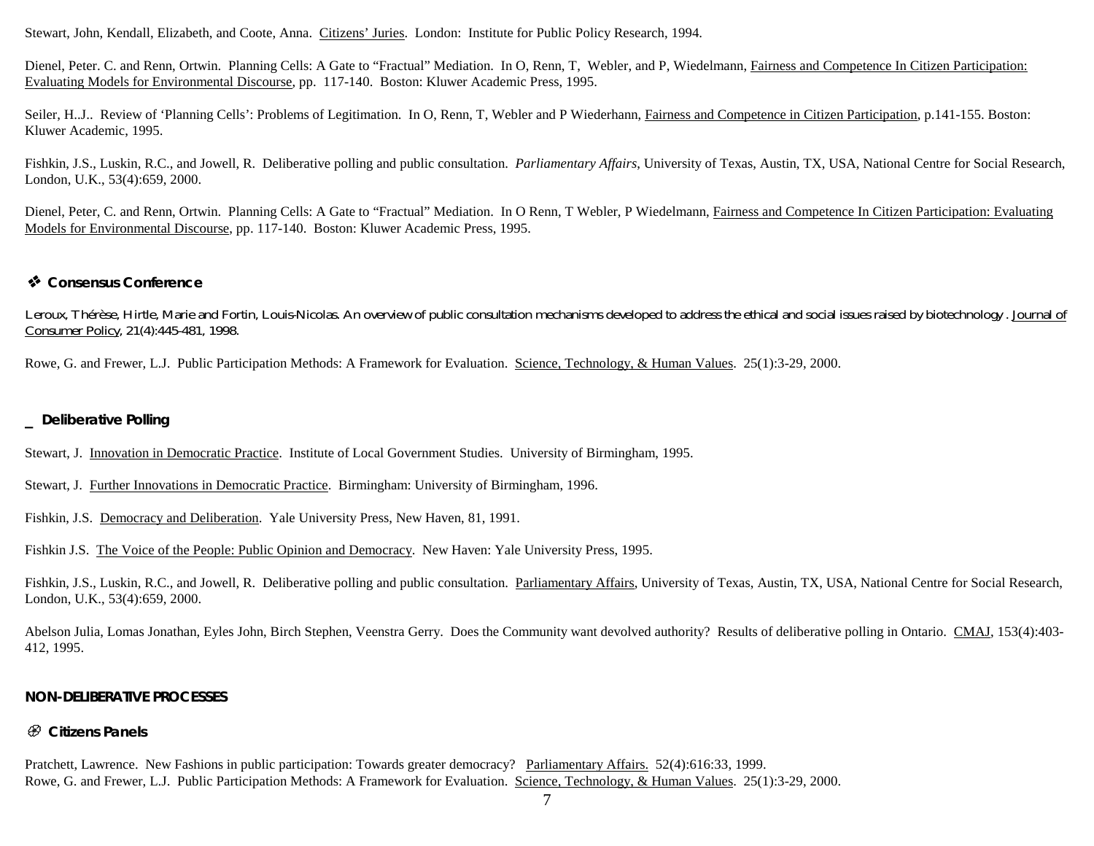Stewart, John, Kendall, Elizabeth, and Coote, Anna. Citizens' Juries. London: Institute for Public Policy Research, 1994.

Dienel, Peter. C. and Renn, Ortwin. Planning Cells: A Gate to "Fractual" Mediation. In O, Renn, T, Webler, and P, Wiedelmann, Fairness and Competence In Citizen Participation: Evaluating Models for Environmental Discourse, pp. 117-140. Boston: Kluwer Academic Press, 1995.

Seiler, H.J.. Review of 'Planning Cells': Problems of Legitimation. In O, Renn, T, Webler and P Wiederhann, Fairness and Competence in Citizen Participation, p.141-155. Boston: Kluwer Academic, 1995.

Fishkin, J.S., Luskin, R.C., and Jowell, R. Deliberative polling and public consultation. *Parliamentary Affairs*, University of Texas, Austin, TX, USA, National Centre for Social Research, London, U.K., 53(4):659, 2000.

Dienel, Peter, C. and Renn, Ortwin. Planning Cells: A Gate to "Fractual" Mediation. In O Renn, T Webler, P Wiedelmann, Fairness and Competence In Citizen Participation: Evaluating Models for Environmental Discourse, pp. 117-140. Boston: Kluwer Academic Press, 1995.

## *Consensus Conference*

Leroux, Thérèse, Hirtle, Marie and Fortin, Louis-Nicolas. An overview of public consultation mechanisms developed to address the ethical and social issues raised by biotechnology. Journal of Consumer Policy, 21(4):445-481, 1998.

Rowe, G. and Frewer, L.J. Public Participation Methods: A Framework for Evaluation. Science, Technology, & Human Values. 25(1):3-29, 2000.

### *\_ Deliberative Polling*

Stewart, J. Innovation in Democratic Practice. Institute of Local Government Studies. University of Birmingham, 1995.

Stewart, J. Further Innovations in Democratic Practice. Birmingham: University of Birmingham, 1996.

Fishkin, J.S. Democracy and Deliberation. Yale University Press, New Haven, 81, 1991.

Fishkin J.S. The Voice of the People: Public Opinion and Democracy. New Haven: Yale University Press, 1995.

Fishkin, J.S., Luskin, R.C., and Jowell, R. Deliberative polling and public consultation. Parliamentary Affairs, University of Texas, Austin, TX, USA, National Centre for Social Research, London, U.K., 53(4):659, 2000.

Abelson Julia, Lomas Jonathan, Eyles John, Birch Stephen, Veenstra Gerry. Does the Community want devolved authority? Results of deliberative polling in Ontario. CMAJ, 153(4):403- 412, 1995.

### *NON-DELIBERATIVE PROCESSES*

### *Citizens Panels*

Pratchett, Lawrence. New Fashions in public participation: Towards greater democracy? Parliamentary Affairs. 52(4):616:33, 1999. Rowe, G. and Frewer, L.J. Public Participation Methods: A Framework for Evaluation. Science, Technology, & Human Values. 25(1):3-29, 2000.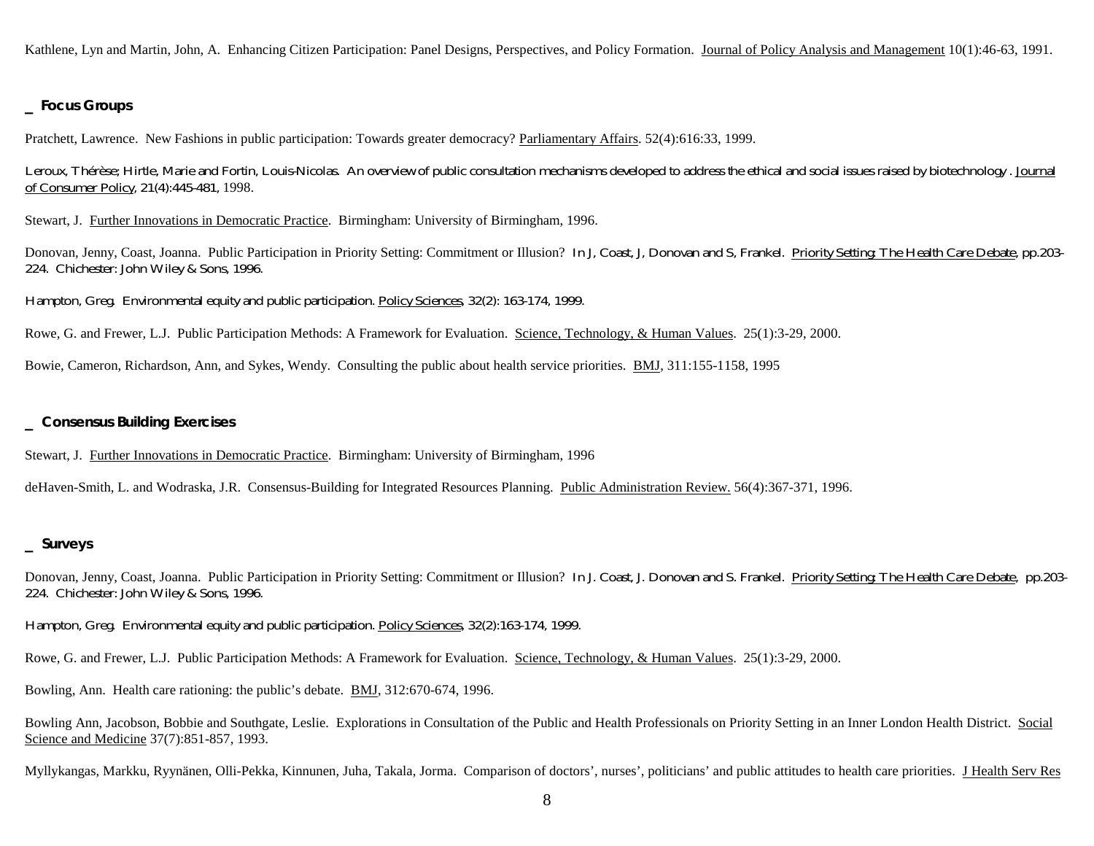Kathlene, Lyn and Martin, John, A. Enhancing Citizen Participation: Panel Designs, Perspectives, and Policy Formation. Journal of Policy Analysis and Management 10(1):46-63, 1991.

#### *\_ Focus Groups*

Pratchett, Lawrence. New Fashions in public participation: Towards greater democracy? Parliamentary Affairs. 52(4):616:33, 1999.

Leroux, Thérèse; Hirtle, Marie and Fortin, Louis-Nicolas. An overview of public consultation mechanisms developed to address the ethical and social issues raised by biotechnology . Journal of Consumer Policy, 21(4):445-481, 1998.

Stewart, J. Further Innovations in Democratic Practice. Birmingham: University of Birmingham, 1996.

Donovan, Jenny, Coast, Joanna. Public Participation in Priority Setting: Commitment or Illusion? In J, Coast, J, Donovan and S, Frankel. Priority Setting: The Health Care Debate, pp.203- 224. Chichester: John Wiley & Sons, 1996.

Hampton, Greg. Environmental equity and public participation. Policy Sciences, 32(2): 163-174, 1999.

Rowe, G. and Frewer, L.J. Public Participation Methods: A Framework for Evaluation. Science, Technology, & Human Values. 25(1):3-29, 2000.

Bowie, Cameron, Richardson, Ann, and Sykes, Wendy. Consulting the public about health service priorities. **BMJ**, 311:155-1158, 1995

#### *\_ Consensus Building Exercises*

Stewart, J. Further Innovations in Democratic Practice. Birmingham: University of Birmingham, 1996

deHaven-Smith, L. and Wodraska, J.R. Consensus-Building for Integrated Resources Planning. Public Administration Review. 56(4):367-371, 1996.

#### *\_ Surveys*

Donovan, Jenny, Coast, Joanna. Public Participation in Priority Setting: Commitment or Illusion? In J. Coast, J. Donovan and S. Frankel. Priority Setting: The Health Care Debate, pp.203-224. Chichester: John Wiley & Sons, 1996.

Hampton, Greg. Environmental equity and public participation. Policy Sciences, 32(2):163-174, 1999.

Rowe, G. and Frewer, L.J. Public Participation Methods: A Framework for Evaluation. Science, Technology, & Human Values. 25(1):3-29, 2000.

Bowling, Ann. Health care rationing: the public's debate. BMJ, 312:670-674, 1996.

Bowling Ann, Jacobson, Bobbie and Southgate, Leslie. Explorations in Consultation of the Public and Health Professionals on Priority Setting in an Inner London Health District. Social Science and Medicine 37(7):851-857, 1993.

Myllykangas, Markku, Ryynänen, Olli-Pekka, Kinnunen, Juha, Takala, Jorma. Comparison of doctors', nurses', politicians' and public attitudes to health care priorities. J Health Serv Res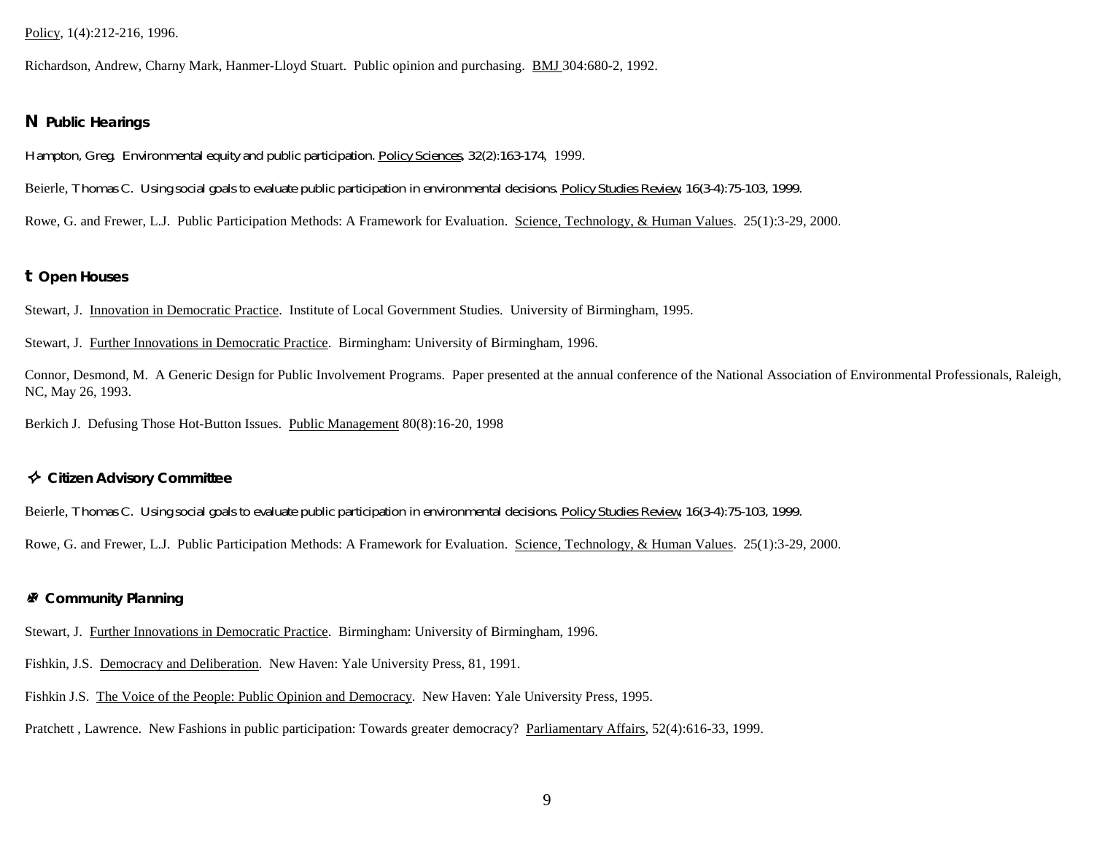#### Policy, 1(4):212-216, 1996.

Richardson, Andrew, Charny Mark, Hanmer-Lloyd Stuart. Public opinion and purchasing. BMJ 304:680-2, 1992.

#### *N Public Hearings*

Hampton, Greg. Environmental equity and public participation. Policy Sciences, 32(2):163-174, 1999.

Beierle, Thomas C. Using social goals to evaluate public participation in environmental decisions. Policy Studies Review, 16(3-4):75-103, 1999.

Rowe, G. and Frewer, L.J. Public Participation Methods: A Framework for Evaluation. Science, Technology, & Human Values. 25(1):3-29, 2000.

#### *t Open Houses*

Stewart, J. Innovation in Democratic Practice. Institute of Local Government Studies. University of Birmingham, 1995.

Stewart, J. Further Innovations in Democratic Practice. Birmingham: University of Birmingham, 1996.

Connor, Desmond, M. A Generic Design for Public Involvement Programs. Paper presented at the annual conference of the National Association of Environmental Professionals, Raleigh, NC, May 26, 1993.

Berkich J. Defusing Those Hot-Button Issues. Public Management 80(8):16-20, 1998

#### *Citizen Advisory Committee*

Beierle, Thomas C. Using social goals to evaluate public participation in environmental decisions. Policy Studies Review, 16(3-4):75-103, 1999.

Rowe, G. and Frewer, L.J. Public Participation Methods: A Framework for Evaluation. Science, Technology, & Human Values. 25(1):3-29, 2000.

#### *Community Planning*

Stewart, J. Further Innovations in Democratic Practice. Birmingham: University of Birmingham, 1996.

Fishkin, J.S. Democracy and Deliberation. New Haven: Yale University Press, 81, 1991.

Fishkin J.S. The Voice of the People: Public Opinion and Democracy. New Haven: Yale University Press, 1995.

Pratchett , Lawrence. New Fashions in public participation: Towards greater democracy? Parliamentary Affairs, 52(4):616-33, 1999.